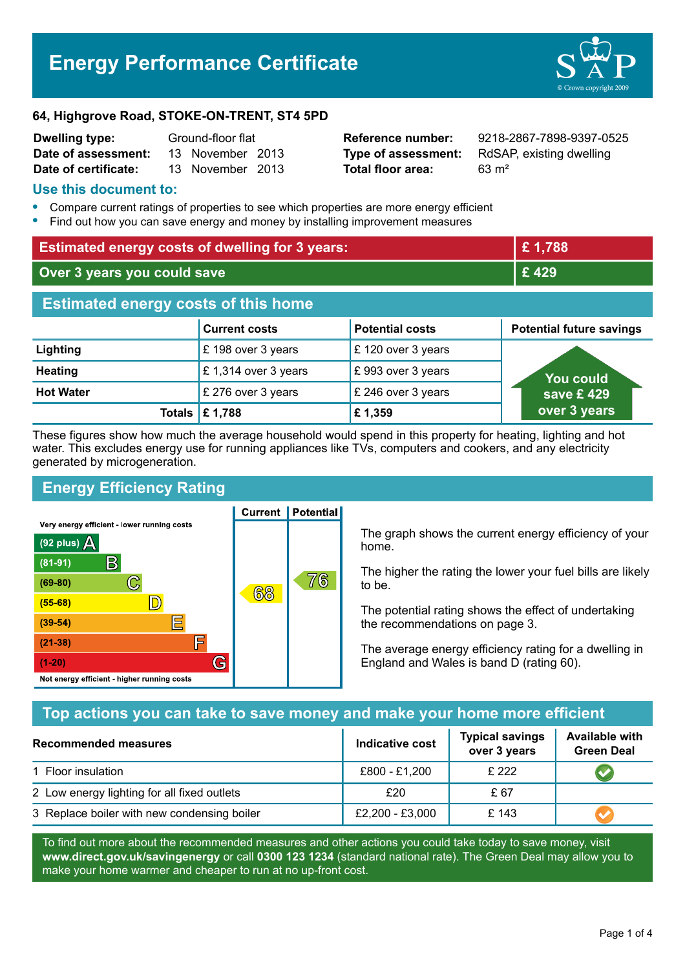# **Energy Performance Certificate**



#### **64, Highgrove Road, STOKE-ON-TRENT, ST4 5PD**

| <b>Dwelling type:</b> | Ground-floor flat |                  |  |
|-----------------------|-------------------|------------------|--|
| Date of assessment:   |                   | 13 November 2013 |  |
| Date of certificate:  |                   | 13 November 2013 |  |

**Total floor area:** 63 m<sup>2</sup>

**Reference number:** 9218-2867-7898-9397-0525 **Type of assessment:** RdSAP, existing dwelling

#### **Use this document to:**

- **•** Compare current ratings of properties to see which properties are more energy efficient
- **•** Find out how you can save energy and money by installing improvement measures

| <b>Estimated energy costs of dwelling for 3 years:</b> |                           |                        | £1,788                          |
|--------------------------------------------------------|---------------------------|------------------------|---------------------------------|
| Over 3 years you could save                            |                           | £429                   |                                 |
| <b>Estimated energy costs of this home</b>             |                           |                        |                                 |
|                                                        | <b>Current costs</b>      | <b>Potential costs</b> | <b>Potential future savings</b> |
| Lighting                                               | £198 over 3 years         | £120 over 3 years      |                                 |
| <b>Heating</b>                                         | £1,314 over 3 years       | £993 over 3 years      | <b>You could</b>                |
| <b>Hot Water</b>                                       | £ 276 over 3 years        | £ 246 over 3 years     | save £429                       |
|                                                        | Totals $\mathsf{E}$ 1,788 | £1,359                 | over 3 years                    |

These figures show how much the average household would spend in this property for heating, lighting and hot water. This excludes energy use for running appliances like TVs, computers and cookers, and any electricity generated by microgeneration.

# **Energy Efficiency Rating**

Very energy efficient - lower running costs



**Current | Potential** 

The graph shows the current energy efficiency of your home.

The higher the rating the lower your fuel bills are likely to be.

The potential rating shows the effect of undertaking the recommendations on page 3.

The average energy efficiency rating for a dwelling in England and Wales is band D (rating 60).

## **Top actions you can take to save money and make your home more efficient**

| Recommended measures                        | Indicative cost | <b>Typical savings</b><br>over 3 years | <b>Available with</b><br><b>Green Deal</b> |
|---------------------------------------------|-----------------|----------------------------------------|--------------------------------------------|
| 1 Floor insulation                          | £800 - £1,200   | £ 222                                  |                                            |
| 2 Low energy lighting for all fixed outlets | £20             | £ 67                                   |                                            |
| 3 Replace boiler with new condensing boiler | £2,200 - £3,000 | £143                                   |                                            |

To find out more about the recommended measures and other actions you could take today to save money, visit **www.direct.gov.uk/savingenergy** or call **0300 123 1234** (standard national rate). The Green Deal may allow you to make your home warmer and cheaper to run at no up-front cost.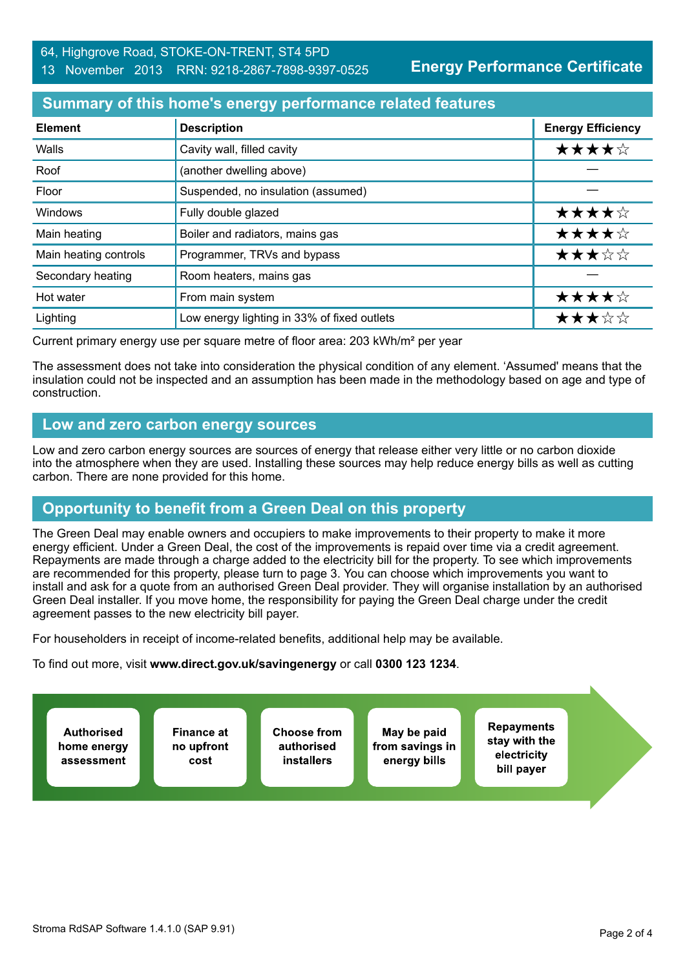**Energy Performance Certificate**

## **Summary of this home's energy performance related features**

| <b>Element</b>        | <b>Description</b>                          | <b>Energy Efficiency</b> |
|-----------------------|---------------------------------------------|--------------------------|
| Walls                 | Cavity wall, filled cavity                  | ★★★★☆                    |
| Roof                  | (another dwelling above)                    |                          |
| Floor                 | Suspended, no insulation (assumed)          |                          |
| Windows               | Fully double glazed                         | ★★★★☆                    |
| Main heating          | Boiler and radiators, mains gas             | ★★★★☆                    |
| Main heating controls | Programmer, TRVs and bypass                 | ★★★☆☆                    |
| Secondary heating     | Room heaters, mains gas                     |                          |
| Hot water             | From main system                            | ★★★★☆                    |
| Lighting              | Low energy lighting in 33% of fixed outlets | ★★★☆☆                    |

Current primary energy use per square metre of floor area: 203 kWh/m² per year

The assessment does not take into consideration the physical condition of any element. 'Assumed' means that the insulation could not be inspected and an assumption has been made in the methodology based on age and type of construction.

## **Low and zero carbon energy sources**

Low and zero carbon energy sources are sources of energy that release either very little or no carbon dioxide into the atmosphere when they are used. Installing these sources may help reduce energy bills as well as cutting carbon. There are none provided for this home.

# **Opportunity to benefit from a Green Deal on this property**

The Green Deal may enable owners and occupiers to make improvements to their property to make it more energy efficient. Under a Green Deal, the cost of the improvements is repaid over time via a credit agreement. Repayments are made through a charge added to the electricity bill for the property. To see which improvements are recommended for this property, please turn to page 3. You can choose which improvements you want to install and ask for a quote from an authorised Green Deal provider. They will organise installation by an authorised Green Deal installer. If you move home, the responsibility for paying the Green Deal charge under the credit agreement passes to the new electricity bill payer.

For householders in receipt of income-related benefits, additional help may be available.

To find out more, visit **www.direct.gov.uk/savingenergy** or call **0300 123 1234**.

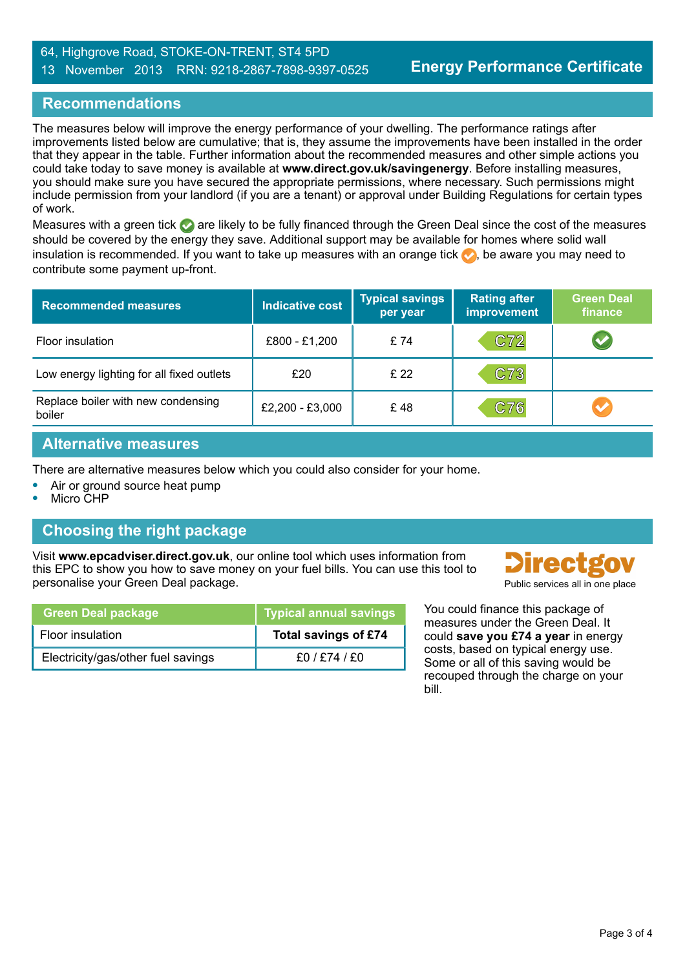#### 64, Highgrove Road, STOKE-ON-TRENT, ST4 5PD 13 November 2013 RRN: 9218-2867-7898-9397-0525

## **Recommendations**

The measures below will improve the energy performance of your dwelling. The performance ratings after improvements listed below are cumulative; that is, they assume the improvements have been installed in the order that they appear in the table. Further information about the recommended measures and other simple actions you could take today to save money is available at **www.direct.gov.uk/savingenergy**. Before installing measures, you should make sure you have secured the appropriate permissions, where necessary. Such permissions might include permission from your landlord (if you are a tenant) or approval under Building Regulations for certain types of work.

Measures with a green tick  $\bullet$  are likely to be fully financed through the Green Deal since the cost of the measures should be covered by the energy they save. Additional support may be available for homes where solid wall insulation is recommended. If you want to take up measures with an orange tick  $\bullet$ , be aware you may need to contribute some payment up-front.

| <b>Recommended measures</b>                  | Indicative cost | <b>Typical savings</b><br>per year | <b>Rating after</b><br>improvement | <b>Green Deal</b><br>finance |
|----------------------------------------------|-----------------|------------------------------------|------------------------------------|------------------------------|
| Floor insulation                             | £800 - £1,200   | £ 74                               | C72                                |                              |
| Low energy lighting for all fixed outlets    | £20             | £ 22                               | C73                                |                              |
| Replace boiler with new condensing<br>boiler | £2,200 - £3,000 | £48                                | C76                                | $\blacktriangledown$         |

## **Alternative measures**

There are alternative measures below which you could also consider for your home.

- **•** Air or ground source heat pump
- **•** Micro CHP

## **Choosing the right package**

Visit **www.epcadviser.direct.gov.uk**, our online tool which uses information from this EPC to show you how to save money on your fuel bills. You can use this tool to personalise your Green Deal package. **Public services all in one place** provided by Public services all in one place

| <b>Green Deal package</b>          | Typical annual savings |
|------------------------------------|------------------------|
| Floor insulation                   | Total savings of £74   |
| Electricity/gas/other fuel savings | £0/£74/£0              |



You could finance this package of measures under the Green Deal. It could **save you £74 a year** in energy costs, based on typical energy use. Some or all of this saving would be recouped through the charge on your bill.